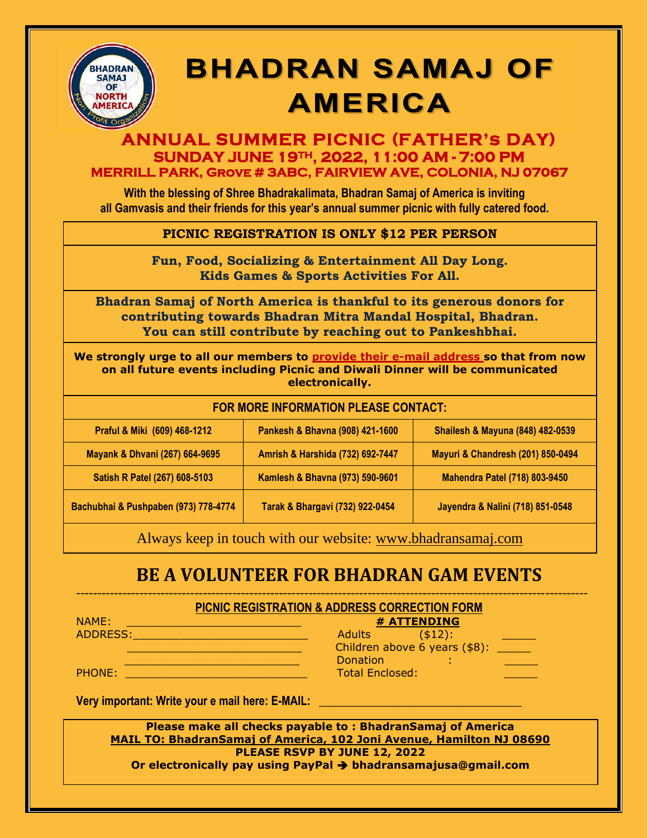

# **BHADRAN SAMAJ OF AMERICA**

### **ANNUAL SUMMER PICNIC (FATHER's DAY) SUNDAY JUNE 19TH, 2022, 11:00 AM - 7:00 PM MERRILL PARK, Grove # 3ABC, FAIRVIEW AVE, COLONIA, NJ 07067**

**With the blessing of Shree Bhadrakalimata, Bhadran Samaj of America is inviting all Gamvasis and their friends for this year's annual summer picnic with fully catered food.**

### **PICNIC REGISTRATION IS ONLY \$12 PER PERSON**

**Fun, Food, Socializing & Entertainment All Day Long. Kids Games & Sports Activities For All.**

**Bhadran Samaj of North America is thankful to its generous donors for contributing towards Bhadran Mitra Mandal Hospital, Bhadran. You can still contribute by reaching out to Pankeshbhai.**

**We strongly urge to all our members to provide their e-mail address so that from now on all future events including Picnic and Diwali Dinner will be communicated electronically.**

#### **FOR MORE INFORMATION PLEASE CONTACT:**

| Praful & Miki (609) 468-1212         | Pankesh & Bhavna (908) 421-1600  | <b>Shailesh &amp; Mayuna (848) 482-0539</b> |
|--------------------------------------|----------------------------------|---------------------------------------------|
| Mayank & Dhvani (267) 664-9695       | Amrish & Harshida (732) 692-7447 | Mayuri & Chandresh (201) 850-0494           |
| Satish R Patel (267) 608-5103        | Kamlesh & Bhavna (973) 590-9601  | <b>Mahendra Patel (718) 803-9450</b>        |
| Bachubhai & Pushpaben (973) 778-4774 | Tarak & Bhargavi (732) 922-0454  | Jayendra & Nalini (718) 851-0548            |

Always keep in touch with our website: [www.bhadransamaj.com](about:blank)

## **BE A VOLUNTEER FOR BHADRAN GAM EVENTS**

------------------------------------------------------------------------------------------------------------------------- **PICNIC REGISTRATION & ADDRESS CORRECTION FORM**

| NAME:    | # ATTENDING                   |  |
|----------|-------------------------------|--|
| ADDRESS: | $($ \$12):<br>Adults          |  |
|          | Children above 6 years (\$8): |  |
|          | Donation                      |  |
| PHONE:   | <b>Total Enclosed:</b>        |  |

Very important: Write your e mail here: E-MAIL:

**Please make all checks payable to : BhadranSamaj of America MAIL TO: BhadranSamaj of America, 102 Joni Avenue, Hamilton NJ 08690 PLEASE RSVP BY JUNE 12, 2022 Or electronically pay using PayPal** ➔ **bhadransamajusa@gmail.com**